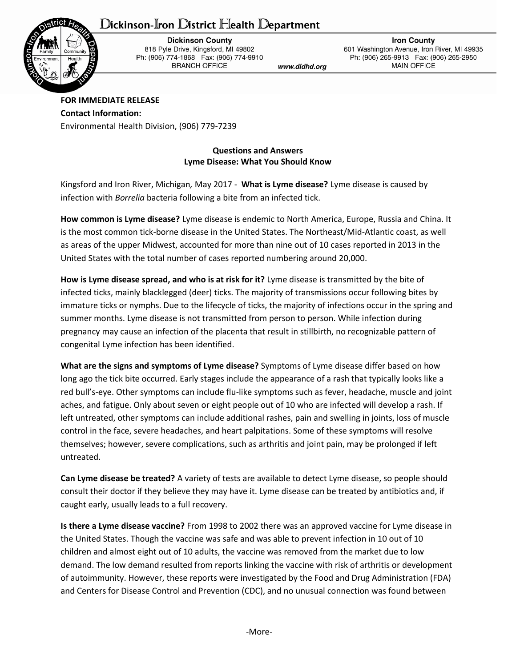## Dickinson-Iron District Health Department



**Dickinson County** 818 Pyle Drive, Kingsford, MI 49802 Ph: (906) 774-1868 Fax: (906) 774-9910 **BRANCH OFFICE** 

www.didhd.org

**Iron County** 601 Washington Avenue, Iron River, MI 49935 Ph: (906) 265-9913 Fax: (906) 265-2950 **MAIN OFFICE** 

**FOR IMMEDIATE RELEASE Contact Information:** Environmental Health Division, (906) 779-7239

## **Questions and Answers Lyme Disease: What You Should Know**

Kingsford and Iron River, Michigan*,* May 2017 - **What is Lyme disease?** Lyme disease is caused by infection with *Borrelia* bacteria following a bite from an infected tick.

**How common is Lyme disease?** Lyme disease is endemic to North America, Europe, Russia and China. It is the most common tick-borne disease in the United States. The Northeast/Mid-Atlantic coast, as well as areas of the upper Midwest, accounted for more than nine out of 10 cases reported in 2013 in the United States with the total number of cases reported numbering around 20,000.

**How is Lyme disease spread, and who is at risk for it?** Lyme disease is transmitted by the bite of infected ticks, mainly blacklegged (deer) ticks. The majority of transmissions occur following bites by immature ticks or nymphs. Due to the lifecycle of ticks, the majority of infections occur in the spring and summer months. Lyme disease is not transmitted from person to person. While infection during pregnancy may cause an infection of the placenta that result in stillbirth, no recognizable pattern of congenital Lyme infection has been identified.

**What are the signs and symptoms of Lyme disease?** Symptoms of Lyme disease differ based on how long ago the tick bite occurred. Early stages include the appearance of a rash that typically looks like a red bull's-eye. Other symptoms can include flu-like symptoms such as fever, headache, muscle and joint aches, and fatigue. Only about seven or eight people out of 10 who are infected will develop a rash. If left untreated, other symptoms can include additional rashes, pain and swelling in joints, loss of muscle control in the face, severe headaches, and heart palpitations. Some of these symptoms will resolve themselves; however, severe complications, such as arthritis and joint pain, may be prolonged if left untreated.

**Can Lyme disease be treated?** A variety of tests are available to detect Lyme disease, so people should consult their doctor if they believe they may have it. Lyme disease can be treated by antibiotics and, if caught early, usually leads to a full recovery.

**Is there a Lyme disease vaccine?** From 1998 to 2002 there was an approved vaccine for Lyme disease in the United States. Though the vaccine was safe and was able to prevent infection in 10 out of 10 children and almost eight out of 10 adults, the vaccine was removed from the market due to low demand. The low demand resulted from reports linking the vaccine with risk of arthritis or development of autoimmunity. However, these reports were investigated by the Food and Drug Administration (FDA) and Centers for Disease Control and Prevention (CDC), and no unusual connection was found between